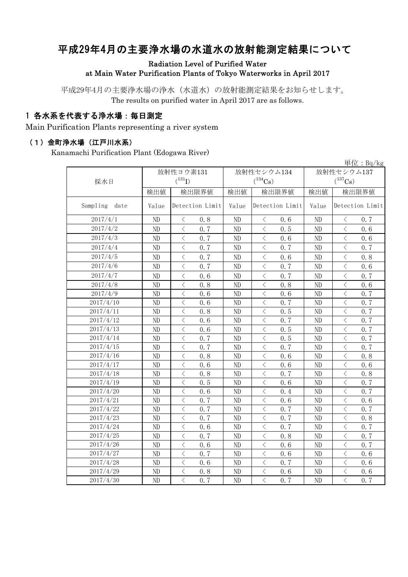# 平成29年4月の主要浄水場の水道水の放射能測定結果について

Radiation Level of Purified Water at Main Water Purification Plants of Tokyo Waterworks in April 2017

平成29年4月の主要浄水場の浄水(水道水)の放射能測定結果をお知らせします。 The results on purified water in April 2017 are as follows.

### 1 各水系を代表する浄水場:毎日測定

Main Purification Plants representing a river system

#### (1)金町浄水場(江戸川水系)

Kanamachi Purification Plant (Edogawa River)

|                  |           |                                          |      |                |                                          |      |              |                                          | 単位: $Bq/kg$     |  |
|------------------|-----------|------------------------------------------|------|----------------|------------------------------------------|------|--------------|------------------------------------------|-----------------|--|
|                  | 放射性ヨウ素131 |                                          |      |                | 放射性セシウム134                               |      | 放射性セシウム137   |                                          |                 |  |
| 採水日              |           | $(^{131}I)$                              |      |                | $(^{134}Cs)$                             |      | $(^{137}Cs)$ |                                          |                 |  |
|                  | 検出値       | 検出限界値                                    |      | 検出値            | 検出限界値                                    |      | 検出値          | 検出限界値                                    |                 |  |
| Sampling<br>date | Value     | Detection Limit                          |      | Value          | Detection Limit                          |      | Value        |                                          | Detection Limit |  |
| 2017/4/1         | ND        | $\lt$                                    | 0.8  | N <sub>D</sub> | $\lt$                                    | 0.6  | ND           | $\langle$                                | 0.7             |  |
| 2017/4/2         | ND        | $\,$ $\,$ $\,$                           | 0.7  | N <sub>D</sub> | $\, <\,$                                 | 0.5  | ND           | $\langle$                                | 0, 6            |  |
| 2017/4/3         | ND        | $\langle$                                | 0.7  | ND             | $\langle$                                | 0.6  | $\rm ND$     | $\langle$                                | 0.6             |  |
| 2017/4/4         | ND        | $\, \zeta \,$                            | 0.7  | ND             | $\lt$                                    | 0.7  | $\rm ND$     | $\langle$                                | 0.7             |  |
| 2017/4/5         | ND        | $\lt$                                    | 0.7  | ND             | $\langle$                                | 0.6  | ND           | $\overline{\left\langle \right\rangle }$ | 0.8             |  |
| 2017/4/6         | ND        | $\langle$                                | 0.7  | ND             | $\overline{\left\langle \right\rangle }$ | 0.7  | ND           | $\langle$                                | 0.6             |  |
| 2017/4/7         | ND        | $\lt$                                    | 0.6  | ND             | $\langle$                                | 0.7  | ND           | $\overline{\left\langle \right\rangle }$ | 0.7             |  |
| 2017/4/8         | ND        | $\lt$                                    | 0.8  | ND             | $\langle$                                | 0.8  | ND           | $\langle$                                | 0.6             |  |
| 2017/4/9         | ND        | $\lt$                                    | 0.6  | ND             | $\langle$                                | 0.6  | ND           | $\lt$                                    | 0.7             |  |
| 2017/4/10        | ND        | $\lt$                                    | 0.6  | ND             | $\langle$                                | 0.7  | ND           | $\lt$                                    | 0.7             |  |
| 2017/4/11        | ND        | $\lt$                                    | 0.8  | ND             | $\lt$                                    | 0.5  | ND           | $\lt$                                    | 0.7             |  |
| 2017/4/12        | ND        | $\langle$                                | 0.6  | ND             | $\, <\,$                                 | 0.7  | ND           | $\langle$                                | 0.7             |  |
| 2017/4/13        | ND        | $\langle$                                | 0.6  | ND             | $\, <\,$                                 | 0.5  | ND           | $\langle$                                | 0.7             |  |
| 2017/4/14        | ND        | $\lt$                                    | 0.7  | ND             | $\lt$                                    | 0.5  | ND           | $\lt$                                    | 0.7             |  |
| 2017/4/15        | ND        | $\langle$                                | 0, 7 | ND             | $\, <\,$                                 | 0.7  | ND           | $\lt$                                    | 0.7             |  |
| 2017/4/16        | ND        | $\lt$                                    | 0.8  | ND             | $\langle$                                | 0.6  | ND           | $\langle$                                | 0.8             |  |
| 2017/4/17        | ND        | $\lt$                                    | 0.6  | ND             | $\langle$                                | 0.6  | ND           | $\langle$                                | 0.6             |  |
| 2017/4/18        | ND        | $\langle$                                | 0.8  | ND             | $\langle$                                | 0.7  | ND           | $\langle$                                | 0.8             |  |
| 2017/4/19        | ND        | $\lt$                                    | 0.5  | ND             | $\lt$                                    | 0.6  | ND           | $\langle$                                | 0.7             |  |
| 2017/4/20        | ND        | $\langle$                                | 0.6  | ND             | $\lt$                                    | 0.4  | ND           | $\langle$                                | 0.7             |  |
| 2017/4/21        | ND        | $\lt$                                    | 0, 7 | ND             | $\lt$                                    | 0, 6 | ND           | $\langle$                                | 0.6             |  |
| 2017/4/22        | ND        | $\lt$                                    | 0, 7 | ND             | $\langle$                                | 0, 7 | ND           | $\overline{\left\langle \right\rangle }$ | 0.7             |  |
| 2017/4/23        | ND        | $\lt$                                    | 0.7  | ND             | $\langle$                                | 0.7  | ND           | $\overline{\left\langle \right\rangle }$ | 0.8             |  |
| 2017/4/24        | ND        | $\overline{\left\langle \right\rangle }$ | 0, 6 | ND             | $\overline{\left\langle \right\rangle }$ | 0.7  | ND           | $\overline{\left\langle \right\rangle }$ | 0.7             |  |
| 2017/4/25        | ND        | $\langle$                                | 0, 7 | N <sub>D</sub> | $\overline{\left\langle \right\rangle }$ | 0, 8 | ND           | $\overline{\left\langle \right\rangle }$ | 0.7             |  |
| 2017/4/26        | ND        | $\langle$                                | 0, 6 | N <sub>D</sub> | $\langle$                                | 0, 6 | ND           | $\langle$                                | 0.7             |  |
| 2017/4/27        | ND        | $\langle$                                | 0, 7 | ND             | $\lt$                                    | 0, 6 | ND           | $\langle$                                | 0, 6            |  |
| 2017/4/28        | ND        | $\overline{\left\langle \right\rangle }$ | 0, 6 | N <sub>D</sub> | $\overline{\left\langle \right\rangle }$ | 0.7  | ND           | $\langle$                                | 0, 6            |  |
| 2017/4/29        | ND        | $\lt$                                    | 0.8  | ND             | $\langle$                                | 0.6  | ND           | $\langle$                                | 0.6             |  |
| 2017/4/30        | ND        | $\overline{\left\langle \right\rangle }$ | 0, 7 | N <sub>D</sub> | $\overline{\langle}$                     | 0.7  | ND           | $\overline{\left\langle \right\rangle }$ | 0.7             |  |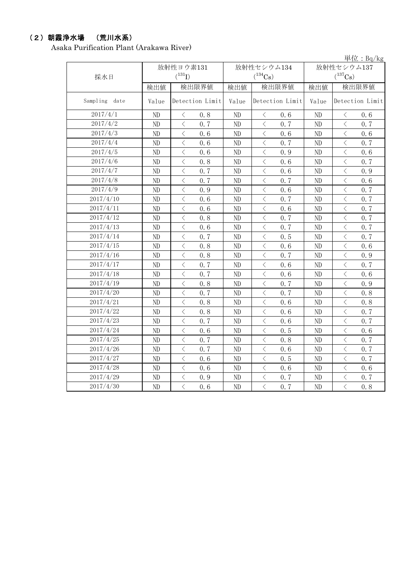## (2)朝霞浄水場 (荒川水系)

Asaka Purification Plant (Arakawa River)

|               |          |                                                  |          |                                                  |                       | 単位: $Bq/kg$                                     |  |
|---------------|----------|--------------------------------------------------|----------|--------------------------------------------------|-----------------------|-------------------------------------------------|--|
|               |          | 放射性ヨウ素131                                        |          | 放射性セシウム134                                       | 放射性セシウム137            |                                                 |  |
| 採水日           |          | $(^{131}I)$                                      |          | $(^{134}\mathrm{Cs})$                            | $(^{137}\mathrm{Cs})$ |                                                 |  |
|               | 検出値      | 検出限界値                                            | 検出値      | 検出限界値                                            | 検出値                   | 検出限界値                                           |  |
| Sampling date | Value    | Detection Limit                                  | Value    | Detection Limit                                  | Value                 | Detection Limit                                 |  |
| 2017/4/1      | $\rm ND$ | 0.8<br>$\lt$                                     | $\rm ND$ | 0.6<br>$\langle$                                 | ND                    | 0.6<br>$\langle$                                |  |
| 2017/4/2      | ND       | $\overline{\left\langle \right\rangle }$<br>0, 7 | ND       | $\overline{\left\langle \right\rangle }$<br>0, 7 | ND                    | $\overline{\langle}$<br>0, 7                    |  |
| 2017/4/3      | $\rm ND$ | $\, <\,$<br>0.6                                  | ND       | $\overline{\left\langle \right\rangle }$<br>0.6  | ND                    | $\langle$<br>0.6                                |  |
| 2017/4/4      | $\rm ND$ | $\overline{\left\langle \right\rangle }$<br>0.6  | ND       | $\overline{\left\langle \right\rangle }$<br>0.7  | ND                    | $\overline{\left\langle \right\rangle }$<br>0.7 |  |
| 2017/4/5      | ND       | $\overline{\left\langle \right\rangle }$<br>0.6  | ND       | $\overline{\left\langle \right\rangle }$<br>0.9  | ND                    | $\overline{\left\langle \right\rangle }$<br>0.6 |  |
| 2017/4/6      | ND       | $\langle$<br>0.8                                 | ND       | $\langle$<br>0.6                                 | ND                    | $\langle$<br>0.7                                |  |
| 2017/4/7      | ND       | $\lt$<br>0.7                                     | ND       | $\langle$<br>0.6                                 | ND                    | $\lt$<br>0.9                                    |  |
| 2017/4/8      | ND       | $\hspace{0.1cm} <$<br>0.7                        | $\rm ND$ | $\,$ $\,$ $\,$<br>0.7                            | ND                    | $\langle$<br>0.6                                |  |
| 2017/4/9      | ND       | $\,<$<br>0.9                                     | ND       | $\, <\,$<br>0.6                                  | ND                    | $\lt$<br>0.7                                    |  |
| 2017/4/10     | ND       | $\langle$<br>0, 6                                | ND       | $\, <\,$<br>0.7                                  | ND                    | $\langle$<br>0.7                                |  |
| 2017/4/11     | ND       | $\,$ $\,$ $\,$<br>0.6                            | ND       | $\,$ $\,$ $\,$<br>0.6                            | ND                    | $\langle$<br>0.7                                |  |
| 2017/4/12     | $\rm ND$ | $\, < \,$<br>0.8                                 | $\rm ND$ | $\, \zeta \,$<br>0.7                             | ND                    | $\, <\,$<br>0.7                                 |  |
| 2017/4/13     | $\rm ND$ | $\,$ $\,$ $\,$<br>0.6                            | ND       | $\langle$<br>0.7                                 | ND                    | $\langle$<br>0.7                                |  |
| 2017/4/14     | ND       | $\overline{\left\langle \right\rangle }$<br>0, 7 | ND       | $\overline{\left\langle \right\rangle }$<br>0.5  | ND                    | $\overline{\left\langle \right\rangle }$<br>0.7 |  |
| 2017/4/15     | $\rm ND$ | $\overline{\left\langle \right\rangle }$<br>0.8  | ND       | $\, \zeta \,$<br>0.6                             | ND                    | $\langle$<br>0.6                                |  |
| 2017/4/16     | ND       | $\overline{\left\langle \right\rangle }$<br>0.8  | ND       | $\,$ $\,$ $\,$<br>0.7                            | ND                    | $\langle$<br>0.9                                |  |
| 2017/4/17     | ND       | $\overline{\left\langle \right\rangle }$<br>0.7  | ND       | $\langle$<br>0, 6                                | ND                    | $\,$ $\,$ $\,$<br>0.7                           |  |
| 2017/4/18     | ND       | $\overline{\langle}$<br>0.7                      | ND       | $\overline{\left\langle \right\rangle }$<br>0.6  | ND                    | $\overline{\left\langle \right\rangle }$<br>0.6 |  |
| 2017/4/19     | $\rm ND$ | $\overline{\left\langle \right\rangle }$<br>0.8  | $\rm ND$ | $\,$ $\,$ $\,$<br>0.7                            | ND                    | $\langle$<br>0.9                                |  |
| 2017/4/20     | ND       | $\langle$<br>0.7                                 | ND       | $\lt$<br>0.7                                     | ND                    | $\lt$<br>0.8                                    |  |
| 2017/4/21     | $\rm ND$ | $\lt$<br>0.8                                     | ND       | $\lt$<br>0.6                                     | ND                    | $\lt$<br>0.8                                    |  |
| 2017/4/22     | $\rm ND$ | $\, <\,$<br>0.8                                  | ND       | $\, <\,$<br>0.6                                  | ND                    | $\lt$<br>0.7                                    |  |
| 2017/4/23     | $\rm ND$ | $\,$ $\,$ $\,$<br>0, 7                           | ND       | $\,$ $\,$ $\,$<br>0.6                            | ND                    | $\lt$<br>0.7                                    |  |
| 2017/4/24     | $\rm ND$ | $\, < \,$<br>0, 6                                | ND       | $\langle$<br>0.5                                 | ND                    | $\langle$<br>0.6                                |  |
| 2017/4/25     | $\rm ND$ | $\,$ $\,$ $\,$<br>0.7                            | $\rm ND$ | $\lt$<br>0.8                                     | ND                    | $\lt$<br>0.7                                    |  |
| 2017/4/26     | ND       | $\,$ $\,$ $\,$<br>0.7                            | ND       | $\,$ $\,$ $\,$<br>0.6                            | ND                    | $\langle$<br>0.7                                |  |
| 2017/4/27     | $\rm ND$ | $\,$ $\,$ $\,$<br>0.6                            | $\rm ND$ | $\,$ $\,$ $\,$<br>0.5                            | ND                    | $\langle$<br>0.7                                |  |
| 2017/4/28     | $\rm ND$ | $\,$ $\,$ $\,$<br>0.6                            | ND       | $\lt$<br>0.6                                     | ND                    | $\overline{\left\langle \right\rangle }$<br>0.6 |  |
| 2017/4/29     | $\rm ND$ | $\overline{\left\langle \right\rangle }$<br>0.9  | ND       | $\langle$<br>0.7                                 | ND                    | $\overline{\left\langle \right\rangle }$<br>0.7 |  |
| 2017/4/30     | $\rm ND$ | $\overline{\langle}$<br>0.6                      | ND       | $\overline{\langle}$<br>0.7                      | ND                    | $\overline{\left\langle \right\rangle }$<br>0.8 |  |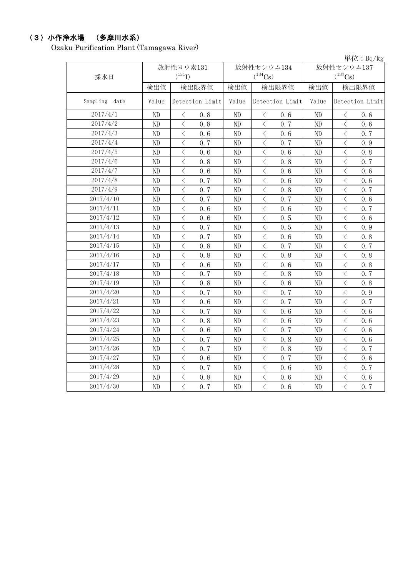## (3)小作浄水場 (多摩川水系)

Ozaku Purification Plant (Tamagawa River)

|               |          |                                                 |          |                                                  |            | 単位: $Bq/kg$                                     |  |
|---------------|----------|-------------------------------------------------|----------|--------------------------------------------------|------------|-------------------------------------------------|--|
|               |          | 放射性ヨウ素131                                       |          | 放射性セシウム134                                       | 放射性セシウム137 |                                                 |  |
| 採水日           |          | $(^{131}I)$                                     |          | $(^{134}\mathrm{Cs})$                            |            | $(^{137}\mathrm{Cs})$                           |  |
|               | 検出値      | 検出限界値                                           | 検出値      | 検出限界値                                            | 検出値        | 検出限界値                                           |  |
| Sampling date | Value    | Detection Limit                                 | Value    | Detection Limit                                  | Value      | Detection Limit                                 |  |
| 2017/4/1      | $\rm ND$ | $\langle$<br>0.8                                | $\rm ND$ | 0.6<br>$\langle$                                 | ND         | $\langle$<br>0.6                                |  |
| 2017/4/2      | $\rm ND$ | $\overline{\left\langle \right\rangle }$<br>0.8 | ND       | $\overline{\left\langle \right\rangle }$<br>0, 7 | ND         | $\overline{\left\langle \right\rangle }$<br>0.6 |  |
| 2017/4/3      | $\rm ND$ | $\, <\,$<br>0.6                                 | ND       | $\overline{\left\langle \right\rangle }$<br>0.6  | ND         | $\langle$<br>0.7                                |  |
| 2017/4/4      | ND       | $\overline{\left\langle \right\rangle }$<br>0.7 | ND       | $\overline{\left\langle \right\rangle }$<br>0.7  | ND         | $\overline{\left\langle \right\rangle }$<br>0.9 |  |
| 2017/4/5      | ND       | $\overline{\left\langle \right\rangle }$<br>0.6 | ND       | $\overline{\left\langle \right\rangle }$<br>0.6  | ND         | $\overline{\left\langle \right\rangle }$<br>0.8 |  |
| 2017/4/6      | ND       | $\langle$<br>0.8                                | ND       | $\langle$<br>0.8                                 | ND         | $\langle$<br>0.7                                |  |
| 2017/4/7      | $\rm ND$ | $\lt$<br>0.6                                    | ND       | $\langle$<br>0.6                                 | ND         | $\lt$<br>0.6                                    |  |
| 2017/4/8      | ND       | $\hspace{0.1cm} <$<br>0.7                       | $\rm ND$ | $\, \zeta \,$<br>0.6                             | ND         | $\langle$<br>0.6                                |  |
| 2017/4/9      | ND       | $\hspace{0.1cm} <$<br>0.7                       | ND       | $\, <\,$<br>0.8                                  | ND         | $\lt$<br>0.7                                    |  |
| 2017/4/10     | ND       | $\langle$<br>0.7                                | ND       | $\, <\,$<br>0.7                                  | ND         | $\langle$<br>0.6                                |  |
| 2017/4/11     | ND       | $\,$ $\,$ $\,$<br>0.6                           | ND       | $\,$ $\,$ $\,$<br>0.6                            | ND         | $\langle$<br>0.7                                |  |
| 2017/4/12     | $\rm ND$ | $\, < \,$<br>0.6                                | $\rm ND$ | $\, \zeta \,$<br>0.5                             | ND         | $\, <\,$<br>0.6                                 |  |
| 2017/4/13     | $\rm ND$ | $\,$ $\,$ $\,$<br>0.7                           | ND       | $\langle$<br>0.5                                 | ND         | $\overline{\left\langle \right\rangle }$<br>0.9 |  |
| 2017/4/14     | ND       | $\overline{\left\langle \right\rangle }$<br>0.7 | ND       | $\overline{\left\langle \right\rangle }$<br>0.6  | ND         | $\overline{\left\langle \right\rangle }$<br>0.8 |  |
| 2017/4/15     | $\rm ND$ | $\overline{\left\langle \right\rangle }$<br>0.8 | ND       | $\, \zeta \,$<br>0.7                             | ND         | $\langle$<br>0.7                                |  |
| 2017/4/16     | ND       | $\overline{\left\langle \right\rangle }$<br>0.8 | ND       | $\overline{\left\langle \right\rangle }$<br>0.8  | ND         | $\langle$<br>0.8                                |  |
| 2017/4/17     | ND       | $\overline{\left\langle \right\rangle }$<br>0.6 | ND       | $\langle$<br>0.6                                 | ND         | $\,$ $\,$ $\,$<br>0.8                           |  |
| 2017/4/18     | ND       | $\overline{\langle}$<br>0.7                     | ND       | $\overline{\langle}$<br>0.8                      | ND         | $\overline{\langle}$<br>0.7                     |  |
| 2017/4/19     | ND       | $\overline{\left\langle \right\rangle }$<br>0.8 | ND       | $\,$ $\,$ $\,$<br>0.6                            | ND         | $\langle$<br>0.8                                |  |
| 2017/4/20     | ND       | $\overline{\left\langle \right\rangle }$<br>0.7 | $\rm ND$ | $\overline{\left\langle \right\rangle }$<br>0.7  | ND         | $\langle$<br>0.9                                |  |
| 2017/4/21     | $\rm ND$ | $\langle$<br>0.6                                | $\rm ND$ | $\overline{\left\langle \right\rangle }$<br>0.7  | ND         | $\langle$<br>0.7                                |  |
| 2017/4/22     | $\rm ND$ | $\lt$<br>0.7                                    | ND       | $\lt$<br>0.6                                     | ND         | $\lt$<br>0.6                                    |  |
| 2017/4/23     | $\rm ND$ | $\langle$<br>0.8                                | ND       | $\langle$<br>0, 6                                | ND         | $\langle$<br>0.6                                |  |
| 2017/4/24     | $\rm ND$ | $\, <\,$<br>0.6                                 | $\rm ND$ | $\, <\,$<br>0.7                                  | ND         | $\lt$<br>0.6                                    |  |
| 2017/4/25     | $\rm ND$ | $\hspace{0.1cm} <$<br>0.7                       | ND       | $\lt$<br>0.8                                     | ND         | $\lt$<br>0.6                                    |  |
| 2017/4/26     | ND       | $\,$ $\,$ $\,$<br>0, 7                          | ND       | $\lt$<br>0.8                                     | ND         | 0.7<br>$\langle$                                |  |
| 2017/4/27     | $\rm ND$ | $\overline{\left\langle \right\rangle }$<br>0.6 | $\rm ND$ | $\lt$<br>0.7                                     | ND         | $\lt$<br>0.6                                    |  |
| 2017/4/28     | $\rm ND$ | $\overline{\left\langle \right\rangle }$<br>0.7 | $\rm ND$ | $\,$ $\,$ $\,$<br>0.6                            | ND         | $\langle$<br>0.7                                |  |
| 2017/4/29     | $\rm ND$ | $\hspace{0.1mm} <$<br>0.8                       | ND       | $\,$ $\,$ $\,$<br>0.6                            | ND         | $\, \zeta \,$<br>0.6                            |  |
| 2017/4/30     | $\rm ND$ | $\overline{\langle}$<br>0.7                     | ND       | $\langle$<br>0.6                                 | ND         | $\overline{\left\langle \right\rangle }$<br>0.7 |  |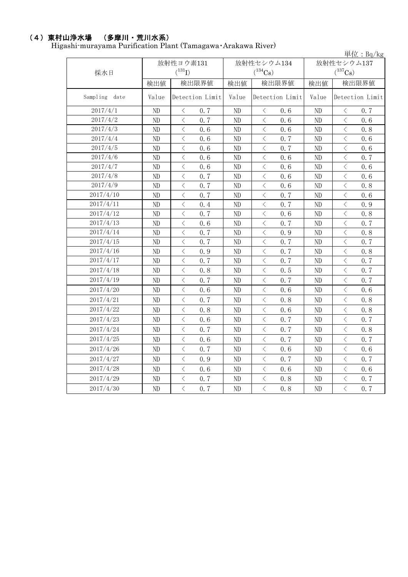#### (4)東村山浄水場 (多摩川・荒川水系)

Higashi-murayama Purification Plant (Tamagawa・Arakawa River)

|               | 単位: $Bq/kg$ |                      |       |                   |            |                   |  |  |  |  |
|---------------|-------------|----------------------|-------|-------------------|------------|-------------------|--|--|--|--|
|               |             | 放射性ヨウ素131            |       | 放射性セシウム134        | 放射性セシウム137 |                   |  |  |  |  |
| 採水日           |             | $(^{131}I)$          |       | $(^{134}Cs)$      |            | $(^{137}Cs)$      |  |  |  |  |
|               | 検出値         | 検出限界値                | 検出値   | 検出限界値             | 検出値        | 検出限界値             |  |  |  |  |
| Sampling date | Value       | Detection Limit      | Value | Detection Limit   | Value      | Detection Limit   |  |  |  |  |
| 2017/4/1      | $\rm ND$    | 0.7<br>$\lt$         | ND    | 0.6<br>$\langle$  | ND         | 0, 7<br>$\langle$ |  |  |  |  |
| 2017/4/2      | $\rm ND$    | 0, 7<br>$\langle$    | ND    | 0, 6<br>$\langle$ | $\rm ND$   | $\langle$<br>0.6  |  |  |  |  |
| 2017/4/3      | $\rm ND$    | $\lt$<br>0.6         | ND    | 0.6<br>$\langle$  | ND         | $\langle$<br>0.8  |  |  |  |  |
| 2017/4/4      | $\rm ND$    | $\langle$<br>0.6     | ND    | 0.7<br>$\langle$  | $\rm ND$   | $\langle$<br>0.6  |  |  |  |  |
| 2017/4/5      | $\rm ND$    | $\langle$<br>0.6     | ND    | $\langle$<br>0.7  | $\rm ND$   | $\langle$<br>0.6  |  |  |  |  |
| 2017/4/6      | $\rm ND$    | $\langle$<br>0.6     | ND    | $\langle$<br>0.6  | $\rm ND$   | $\langle$<br>0.7  |  |  |  |  |
| 2017/4/7      | $\rm ND$    | $\, \zeta \,$<br>0.6 | ND    | $\langle$<br>0.6  | $\rm ND$   | $\lt$<br>0.6      |  |  |  |  |
| 2017/4/8      | $\rm ND$    | $\lt$<br>0.7         | ND    | $\langle$<br>0.6  | ND         | $\lt$<br>0.6      |  |  |  |  |
| 2017/4/9      | $\rm ND$    | $\lt$<br>0.7         | ND    | $\langle$<br>0.6  | ND         | $\langle$<br>0.8  |  |  |  |  |
| 2017/4/10     | $\rm ND$    | $\lt$<br>0, 7        | ND    | $\langle$<br>0.7  | $\rm ND$   | $\langle$<br>0.6  |  |  |  |  |
| 2017/4/11     | $\rm ND$    | $\lt$<br>0.4         | ND    | $\lt$<br>0.7      | $\rm ND$   | $\lt$<br>0.9      |  |  |  |  |
| 2017/4/12     | $\rm ND$    | $\lt$<br>0.7         | ND    | $\lt$<br>0.6      | ND         | $\lt$<br>0.8      |  |  |  |  |
| 2017/4/13     | $\rm ND$    | $\lt$<br>0.6         | ND    | $\langle$<br>0.7  | ND         | $\langle$<br>0.7  |  |  |  |  |
| 2017/4/14     | $\rm ND$    | $\lt$<br>0.7         | ND    | $\langle$<br>0.9  | ND         | $\langle$<br>0.8  |  |  |  |  |
| 2017/4/15     | $\rm ND$    | $\, \zeta \,$<br>0.7 | ND    | $\langle$<br>0.7  | ND         | $\lt$<br>0.7      |  |  |  |  |
| 2017/4/16     | $\rm ND$    | $\lt$<br>0.9         | ND    | $\langle$<br>0.7  | ND         | $\langle$<br>0.8  |  |  |  |  |
| 2017/4/17     | $\rm ND$    | $\lt$<br>0.7         | ND    | $\lt$<br>0.7      | ND         | $\lt$<br>0.7      |  |  |  |  |
| 2017/4/18     | $\rm ND$    | 0.8<br>$\lt$         | ND    | $\langle$<br>0.5  | $\rm ND$   | $\langle$<br>0.7  |  |  |  |  |
| 2017/4/19     | ND          | $\lt$<br>0.7         | ND    | $\langle$<br>0.7  | ND         | $\langle$<br>0.7  |  |  |  |  |
| 2017/4/20     | $\rm ND$    | $\lt$<br>0.6         | ND    | $\langle$<br>0, 6 | ND         | $\langle$<br>0, 6 |  |  |  |  |
| 2017/4/21     | ND          | $\langle$<br>0.7     | ND    | $\langle$<br>0.8  | ND         | $\langle$<br>0.8  |  |  |  |  |
| 2017/4/22     | $\rm ND$    | $\lt$<br>0.8         | ND    | $\langle$<br>0, 6 | ND         | $\lt$<br>0.8      |  |  |  |  |
| 2017/4/23     | $\rm ND$    | $\, \zeta \,$<br>0.6 | ND    | $\lt$<br>0.7      | $\rm ND$   | $\lt$<br>0.7      |  |  |  |  |
| 2017/4/24     | $\rm ND$    | $\lt$<br>0.7         | ND    | 0.7<br>$\lt$      | ND         | $\langle$<br>0.8  |  |  |  |  |
| 2017/4/25     | $\rm ND$    | $\lt$<br>0.6         | ND    | $\langle$<br>0.7  | $\rm ND$   | $\langle$<br>0.7  |  |  |  |  |
| 2017/4/26     | $\rm ND$    | $\lt$<br>0.7         | ND    | $\langle$<br>0.6  | ND         | $\lt$<br>0.6      |  |  |  |  |
| 2017/4/27     | $\rm ND$    | $\, \zeta \,$<br>0.9 | ND    | $\langle$<br>0.7  | ND         | $\langle$<br>0.7  |  |  |  |  |
| 2017/4/28     | $\rm ND$    | $\lt$<br>0.6         | ND    | $\langle$<br>0.6  | ND         | $\langle$<br>0.6  |  |  |  |  |
| 2017/4/29     | $\rm ND$    | $\langle$<br>0.7     | ND    | $\langle$<br>0.8  | $\rm ND$   | $\langle$<br>0.7  |  |  |  |  |
| 2017/4/30     | ND          | $\lt$<br>0.7         | ND    | $\langle$<br>0.8  | ND         | $\lt$<br>0.7      |  |  |  |  |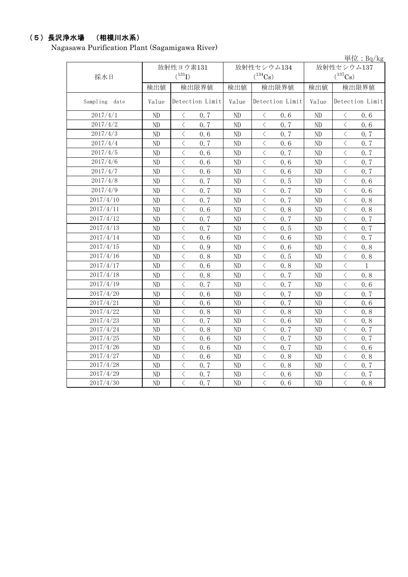# (5)長沢浄水場 (相模川水系)

Nagasawa Purification Plant (Sagamigawa River)

|               |          |                                                 |          |                                                 |            | 単位: $Bq/kg$                                              |  |
|---------------|----------|-------------------------------------------------|----------|-------------------------------------------------|------------|----------------------------------------------------------|--|
|               |          | 放射性ヨウ素131                                       |          | 放射性セシウム134                                      | 放射性セシウム137 |                                                          |  |
| 採水日           |          | $(^{131}I)$                                     |          | $(^{134}Cs)$                                    |            | $(^{137}Cs)$                                             |  |
|               | 検出値      | 検出限界値                                           | 検出値      | 検出限界値                                           | 検出値        | 検出限界値                                                    |  |
| Sampling date | Value    | Detection Limit                                 | Value    | Detection Limit                                 | Value      | Detection Limit                                          |  |
| 2017/4/1      | ND       | $\langle$<br>0.7                                | ND       | $\langle$<br>0.6                                | ND         | $\langle$<br>0.6                                         |  |
| 2017/4/2      | $\rm ND$ | $\langle$<br>0, 7                               | ND       | $\lt$<br>0.7                                    | ND         | $\, <\,$<br>0.6                                          |  |
| 2017/4/3      | $\rm ND$ | $\, \zeta \,$<br>0.6                            | ND       | $\lt$<br>0.7                                    | ND         | $\lt$<br>0.7                                             |  |
| 2017/4/4      | $\rm ND$ | $\, <\,$<br>0.7                                 | ND       | $\, <\,$<br>0.6                                 | ND         | $\lt$<br>0.7                                             |  |
| 2017/4/5      | $\rm ND$ | $\, < \,$<br>0.6                                | ND       | $\lt$<br>0, 7                                   | ND         | $\langle$<br>0.7                                         |  |
| 2017/4/6      | $\rm ND$ | $\langle$<br>0.6                                | ND       | $\lt$<br>0.6                                    | ND         | $\langle$<br>0.7                                         |  |
| 2017/4/7      | ND       | $\langle$<br>0.6                                | ND       | $\lt$<br>0.6                                    | ND         | $\langle$<br>0.7                                         |  |
| 2017/4/8      | $\rm ND$ | $\overline{\left\langle \right\rangle }$<br>0.7 | ND       | $\overline{\left\langle \right\rangle }$<br>0.5 | ND         | $\overline{\left\langle \right\rangle }$<br>0.6          |  |
| 2017/4/9      | ND       | $\overline{\left\langle \right\rangle }$<br>0.7 | ND       | $\langle$<br>0.7                                | ND         | $\overline{\left\langle \right\rangle }$<br>0.6          |  |
| 2017/4/10     | $\rm ND$ | $\,$ $\,$ $\,$<br>0.7                           | ND       | $\,$ $\,$ $\,$<br>0.7                           | ND         | $\lt$<br>0.8                                             |  |
| 2017/4/11     | $\rm ND$ | $\lt$<br>0.6                                    | ND       | $\langle$<br>0, 8                               | ND         | $\lt$<br>0.8                                             |  |
| 2017/4/12     | $\rm ND$ | $\, <\,$<br>0.7                                 | ND       | $\langle$<br>0.7                                | ND         | $\lt$<br>0.7                                             |  |
| 2017/4/13     | $\rm ND$ | $\langle$<br>0.7                                | ND       | $\lt$<br>0.5                                    | ND         | $\lt$<br>0.7                                             |  |
| 2017/4/14     | $\rm ND$ | $\langle$<br>0.6                                | ND       | $\, <\,$<br>0.6                                 | ND         | $\langle$<br>0.7                                         |  |
| 2017/4/15     | $\rm ND$ | $\langle$<br>0.9                                | ND       | $\langle$<br>0.6                                | ND         | $\langle$<br>0.8                                         |  |
| 2017/4/16     | ND       | $\, < \,$<br>0.8                                | ND       | $\lt$<br>0.5                                    | ND         | $\lt$<br>0.8                                             |  |
| 2017/4/17     | $\rm ND$ | $\overline{\left\langle \right\rangle }$<br>0.6 | ND       | $\langle$<br>0.8                                | ND         | $\overline{\left\langle \right\rangle }$<br>$\mathbf{1}$ |  |
| 2017/4/18     | ND       | $\overline{\left\langle \right\rangle }$<br>0.8 | ND       | $\langle$<br>0.7                                | ND         | $\overline{\left\langle \right\rangle }$<br>0.8          |  |
| 2017/4/19     | ND       | $\langle$<br>0, 7                               | ND       | $\langle$<br>0, 7                               | ND         | $\overline{\left\langle \right\rangle }$<br>0.6          |  |
| 2017/4/20     | ND       | $\lt$<br>0.6                                    | ND       | $\langle$<br>0.7                                | ND         | $\lt$<br>0.7                                             |  |
| 2017/4/21     | ND       | $\langle$<br>0.6                                | ND       | $\lt$<br>0.7                                    | ND         | $\langle$<br>0.6                                         |  |
| 2017/4/22     | $\rm ND$ | $\langle$<br>0.8                                | ND       | $\overline{\left\langle \right\rangle }$<br>0.8 | ND         | $\langle$<br>0.8                                         |  |
| 2017/4/23     | $\rm ND$ | $\langle$<br>0.7                                | ND       | $\lt$<br>0.6                                    | ND         | $\langle$<br>0.8                                         |  |
| 2017/4/24     | ND       | $\lt$<br>0.8                                    | ND       | $\lt$<br>0.7                                    | ND         | $\hspace{0.1cm}\diagdown\hspace{0.1cm}$<br>0.7           |  |
| 2017/4/25     | $\rm ND$ | $\langle$<br>0.6                                | $\rm ND$ | $\langle$<br>0.7                                | ND         | $\langle$<br>0.7                                         |  |
| 2017/4/26     | $\rm ND$ | $\,<\,$<br>0.6                                  | ND       | $\lt$<br>0.7                                    | ND         | $\lt$<br>0.6                                             |  |
| 2017/4/27     | ND       | $\overline{\left\langle \right\rangle }$<br>0.6 | $\rm ND$ | $\langle$<br>0.8                                | ND         | $\langle$<br>0.8                                         |  |
| 2017/4/28     | $\rm ND$ | $\,$ $\,$ $\,$<br>0.7                           | $\rm ND$ | $\langle$<br>0.8                                | $\rm ND$   | $\, \zeta \,$<br>0.7                                     |  |
| 2017/4/29     | ND       | $\,$ $\,$ $\,$<br>0.7                           | ND       | $\lt$<br>0.6                                    | $\rm ND$   | $\lt$<br>0.7                                             |  |
| 2017/4/30     | ND       | $\overline{\langle}$<br>0.7                     | ND       | $\overline{\langle}$<br>0.6                     | ND         | $\overline{\langle}$<br>0.8                              |  |